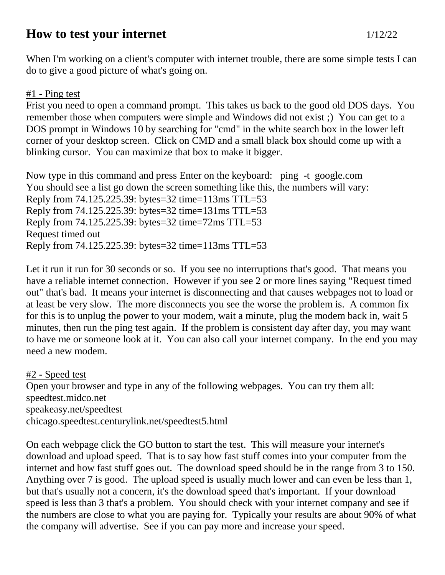## **How to test your internet** 1/12/22

When I'm working on a client's computer with internet trouble, there are some simple tests I can do to give a good picture of what's going on.

## #1 - Ping test

Frist you need to open a command prompt. This takes us back to the good old DOS days. You remember those when computers were simple and Windows did not exist ;) You can get to a DOS prompt in Windows 10 by searching for "cmd" in the white search box in the lower left corner of your desktop screen. Click on CMD and a small black box should come up with a blinking cursor. You can maximize that box to make it bigger.

Now type in this command and press Enter on the keyboard: ping -t google.com You should see a list go down the screen something like this, the numbers will vary: Reply from 74.125.225.39: bytes=32 time=113ms TTL=53 Reply from 74.125.225.39: bytes=32 time=131ms TTL=53 Reply from 74.125.225.39: bytes=32 time=72ms TTL=53 Request timed out Reply from 74.125.225.39: bytes=32 time=113ms TTL=53

Let it run it run for 30 seconds or so. If you see no interruptions that's good. That means you have a reliable internet connection. However if you see 2 or more lines saying "Request timed out" that's bad. It means your internet is disconnecting and that causes webpages not to load or at least be very slow. The more disconnects you see the worse the problem is. A common fix for this is to unplug the power to your modem, wait a minute, plug the modem back in, wait 5 minutes, then run the ping test again. If the problem is consistent day after day, you may want to have me or someone look at it. You can also call your internet company. In the end you may need a new modem.

#2 - Speed test Open your browser and type in any of the following webpages. You can try them all: speedtest.midco.net speakeasy.net/speedtest chicago.speedtest.centurylink.net/speedtest5.html

On each webpage click the GO button to start the test. This will measure your internet's download and upload speed. That is to say how fast stuff comes into your computer from the internet and how fast stuff goes out. The download speed should be in the range from 3 to 150. Anything over 7 is good. The upload speed is usually much lower and can even be less than 1, but that's usually not a concern, it's the download speed that's important. If your download speed is less than 3 that's a problem. You should check with your internet company and see if the numbers are close to what you are paying for. Typically your results are about 90% of what the company will advertise. See if you can pay more and increase your speed.